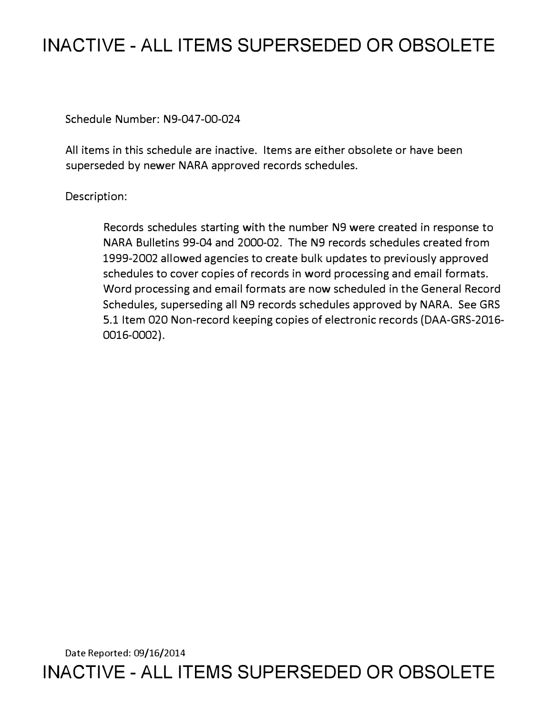# **INACTIVE - ALL ITEMS SUPERSEDED OR OBSOLETE**

Schedule Number: N9-047-00-024

All items in this schedule are inactive. Items are either obsolete or have been superseded by newer NARA approved records schedules.

# Description:

Records schedules starting with the number N9 were created in response to NARA Bulletins 99-04 and 2000-02. The N9 records schedules created from 1999-2002 allowed agencies to create bulk updates to previously approved schedules to cover copies of records in word processing and email formats. Word processing and email formats are now scheduled in the General Record Schedules, superseding all N9 records schedules approved by NARA. See GRS 5.1 Item 020 Non-record keeping copies of electronic records (DAA-GRS-2016- 0016-0002).

Date Reported: 09/16/2014 **INACTIVE - ALL ITEMS SUPERSEDED OR OBSOLETE**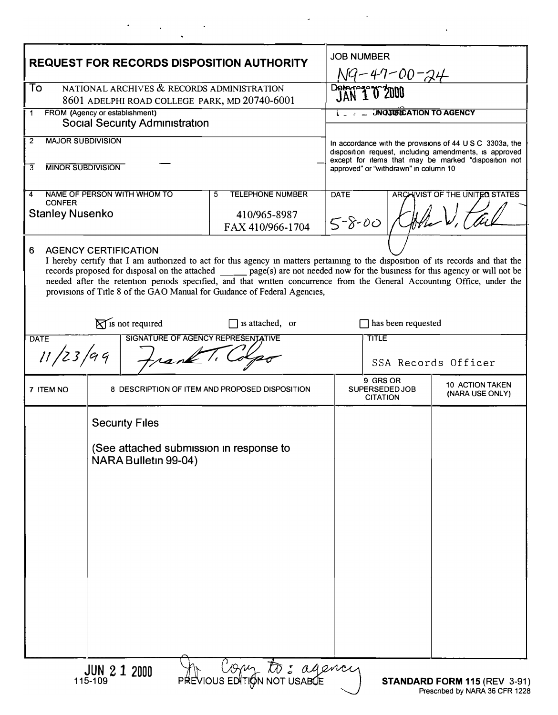| <b>REQUEST FOR RECORDS DISPOSITION AUTHORITY</b>                                                                                                                                                                                                                                                                                                                                                                                                                                                                  |                                                                                          |  | <b>JOB NUMBER</b><br><u>N9-47-00-24</u>                                                                                                                                                                                       |                           |                                           |
|-------------------------------------------------------------------------------------------------------------------------------------------------------------------------------------------------------------------------------------------------------------------------------------------------------------------------------------------------------------------------------------------------------------------------------------------------------------------------------------------------------------------|------------------------------------------------------------------------------------------|--|-------------------------------------------------------------------------------------------------------------------------------------------------------------------------------------------------------------------------------|---------------------------|-------------------------------------------|
| NATIONAL ARCHIVES & RECORDS ADMINISTRATION<br>To<br>8601 ADELPHI ROAD COLLEGE PARK, MD 20740-6001                                                                                                                                                                                                                                                                                                                                                                                                                 |                                                                                          |  | Deter 1 0 2000                                                                                                                                                                                                                |                           |                                           |
| FROM (Agency or establishment)<br>1<br><b>Social Security Administration</b>                                                                                                                                                                                                                                                                                                                                                                                                                                      |                                                                                          |  | <b>JNOJIBICATION TO AGENCY</b>                                                                                                                                                                                                |                           |                                           |
| <b>MAJOR SUBDIVISION</b><br>2                                                                                                                                                                                                                                                                                                                                                                                                                                                                                     |                                                                                          |  | In accordance with the provisions of $44 \cup S \cup C$ 3303a, the<br>disposition request, including amendments, is approved<br>except for items that may be marked "disposition not<br>approved" or "withdrawn" in column 10 |                           |                                           |
| <b>MINOR SUBDIVISION</b><br>3                                                                                                                                                                                                                                                                                                                                                                                                                                                                                     |                                                                                          |  |                                                                                                                                                                                                                               |                           |                                           |
| NAME OF PERSON WITH WHOM TO<br><b>TELEPHONE NUMBER</b><br>5<br>4<br><b>CONFER</b><br><b>Stanley Nusenko</b><br>410/965-8987<br>FAX 410/966-1704                                                                                                                                                                                                                                                                                                                                                                   |                                                                                          |  | <b>DATE</b><br>ARCHIVIST OF THE UNITED STATES<br>Helen V.<br>$5 - 8 - 00$                                                                                                                                                     |                           |                                           |
| 6<br><b>AGENCY CERTIFICATION</b><br>I hereby certify that I am authorized to act for this agency in matters pertaining to the disposition of its records and that the<br>records proposed for disposal on the attached ______ page(s) are not needed now for the business for this agency or will not be<br>needed after the retention periods specified, and that written concurrence from the General Accounting Office, under the<br>provisions of Title 8 of the GAO Manual for Guidance of Federal Agencies, |                                                                                          |  |                                                                                                                                                                                                                               |                           |                                           |
|                                                                                                                                                                                                                                                                                                                                                                                                                                                                                                                   | $\sum$ is not required<br>$\Box$ is attached, or                                         |  |                                                                                                                                                                                                                               | $\Box$ has been requested |                                           |
| SIGNATURE OF AGENCY REPRESENTATIVE<br><b>DATE</b><br>11/23/99<br>rank                                                                                                                                                                                                                                                                                                                                                                                                                                             |                                                                                          |  | <b>TITLE</b><br>SSA Records Officer                                                                                                                                                                                           |                           |                                           |
| 7 ITEM NO                                                                                                                                                                                                                                                                                                                                                                                                                                                                                                         | 8 DESCRIPTION OF ITEM AND PROPOSED DISPOSITION                                           |  | 9 GRS OR<br>SUPERSEDED JOB<br><b>CITATION</b>                                                                                                                                                                                 |                           | <b>10 ACTION TAKEN</b><br>(NARA USE ONLY) |
|                                                                                                                                                                                                                                                                                                                                                                                                                                                                                                                   | <b>Security Files</b><br>(See attached submission in response to<br>NARA Bulletin 99-04) |  |                                                                                                                                                                                                                               |                           |                                           |
| He Com to: agency<br><b>JUN 2 1 2000</b><br>115-109<br>STANDARD FORM 115 (REV 3-91                                                                                                                                                                                                                                                                                                                                                                                                                                |                                                                                          |  |                                                                                                                                                                                                                               |                           |                                           |

 $\label{eq:2.1} \frac{d\mathbf{r}}{d\mathbf{r}} = \frac{1}{2\pi}\left(\frac{d\mathbf{r}}{d\mathbf{r}}\right)^2 \frac{d\mathbf{r}}{d\mathbf{r}}\,.$ 

 $\mathcal{L}^{\text{max}}_{\text{max}}$